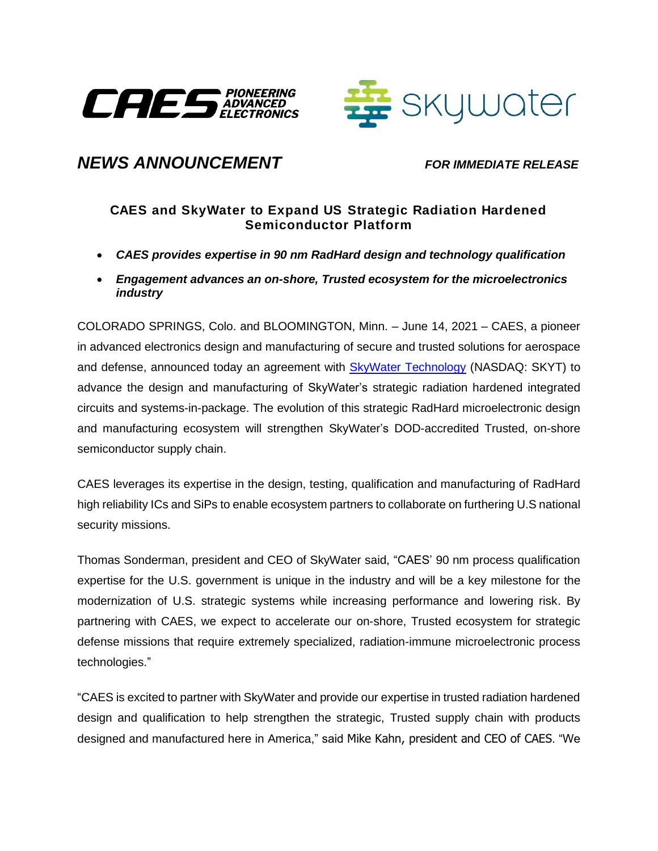



## *NEWS ANNOUNCEMENT FOR IMMEDIATE RELEASE*

## **CAES and SkyWater to Expand US Strategic Radiation Hardened Semiconductor Platform**

- *CAES provides expertise in 90 nm RadHard design and technology qualification*
- *Engagement advances an on-shore, Trusted ecosystem for the microelectronics industry*

COLORADO SPRINGS, Colo. and BLOOMINGTON, Minn. – June 14, 2021 – CAES, a pioneer in advanced electronics design and manufacturing of secure and trusted solutions for aerospace and defense, announced today an agreement with [SkyWater Technology](https://www.skywatertechnology.com/) (NASDAQ: SKYT) to advance the design and manufacturing of SkyWater's strategic radiation hardened integrated circuits and systems-in-package. The evolution of this strategic RadHard microelectronic design and manufacturing ecosystem will strengthen SkyWater's DOD-accredited Trusted, on-shore semiconductor supply chain.

CAES leverages its expertise in the design, testing, qualification and manufacturing of RadHard high reliability ICs and SiPs to enable ecosystem partners to collaborate on furthering U.S national security missions.

Thomas Sonderman, president and CEO of SkyWater said, "CAES' 90 nm process qualification expertise for the U.S. government is unique in the industry and will be a key milestone for the modernization of U.S. strategic systems while increasing performance and lowering risk. By partnering with CAES, we expect to accelerate our on-shore, Trusted ecosystem for strategic defense missions that require extremely specialized, radiation-immune microelectronic process technologies."

"CAES is excited to partner with SkyWater and provide our expertise in trusted radiation hardened design and qualification to help strengthen the strategic, Trusted supply chain with products designed and manufactured here in America," said Mike Kahn, president and CEO of CAES. "We